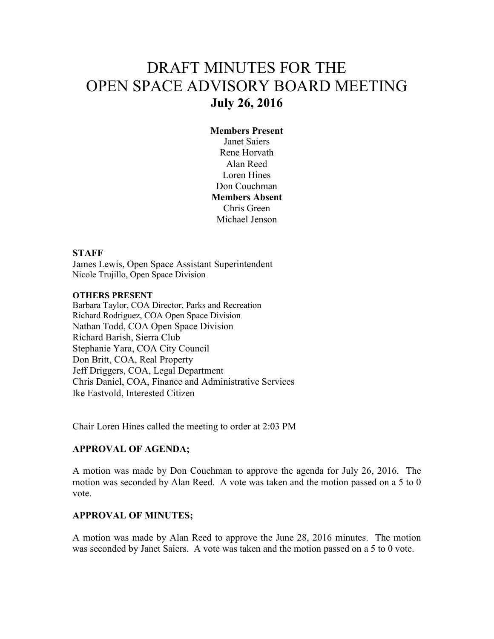# DRAFT MINUTES FOR THE OPEN SPACE ADVISORY BOARD MEETING **July 26, 2016**

### **Members Present**

Janet Saiers Rene Horvath Alan Reed Loren Hines Don Couchman **Members Absent**  Chris Green Michael Jenson

#### **STAFF**

James Lewis, Open Space Assistant Superintendent Nicole Trujillo, Open Space Division

#### **OTHERS PRESENT**

Barbara Taylor, COA Director, Parks and Recreation Richard Rodriguez, COA Open Space Division Nathan Todd, COA Open Space Division Richard Barish, Sierra Club Stephanie Yara, COA City Council Don Britt, COA, Real Property Jeff Driggers, COA, Legal Department Chris Daniel, COA, Finance and Administrative Services Ike Eastvold, Interested Citizen

Chair Loren Hines called the meeting to order at 2:03 PM

#### **APPROVAL OF AGENDA;**

A motion was made by Don Couchman to approve the agenda for July 26, 2016. The motion was seconded by Alan Reed. A vote was taken and the motion passed on a 5 to 0 vote.

#### **APPROVAL OF MINUTES;**

A motion was made by Alan Reed to approve the June 28, 2016 minutes. The motion was seconded by Janet Saiers. A vote was taken and the motion passed on a 5 to 0 vote.